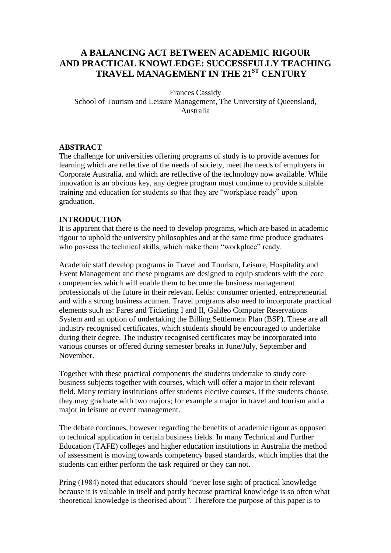# **A BALANCING ACT BETWEEN ACADEMIC RIGOUR AND PRACTICAL KNOWLEDGE: SUCCESSFULLY TEACHING TRAVEL MANAGEMENT IN THE 21ST CENTURY**

Frances Cassidy School of Tourism and Leisure Management, The University of Queensland, Australia

#### **ABSTRACT**

The challenge for universities offering programs of study is to provide avenues for learning which are reflective of the needs of society, meet the needs of employers in Corporate Australia, and which are reflective of the technology now available. While innovation is an obvious key, any degree program must continue to provide suitable training and education for students so that they are "workplace ready" upon graduation.

#### **INTRODUCTION**

It is apparent that there is the need to develop programs, which are based in academic rigour to uphold the university philosophies and at the same time produce graduates who possess the technical skills, which make them "workplace" ready.

Academic staff develop programs in Travel and Tourism, Leisure, Hospitality and Event Management and these programs are designed to equip students with the core competencies which will enable them to become the business management professionals of the future in their relevant fields: consumer oriented, entrepreneurial and with a strong business acumen. Travel programs also need to incorporate practical elements such as: Fares and Ticketing I and II, Galileo Computer Reservations System and an option of undertaking the Billing Settlement Plan (BSP). These are all industry recognised certificates, which students should be encouraged to undertake during their degree. The industry recognised certificates may be incorporated into various courses or offered during semester breaks in June/July, September and November.

Together with these practical components the students undertake to study core business subjects together with courses, which will offer a major in their relevant field. Many tertiary institutions offer students elective courses. If the students choose, they may graduate with two majors; for example a major in travel and tourism and a major in leisure or event management.

The debate continues, however regarding the benefits of academic rigour as opposed to technical application in certain business fields. In many Technical and Further Education (TAFE) colleges and higher education institutions in Australia the method of assessment is moving towards competency based standards, which implies that the students can either perform the task required or they can not.

Pring (1984) noted that educators should "never lose sight of practical knowledge because it is valuable in itself and partly because practical knowledge is so often what theoretical knowledge is theorised about". Therefore the purpose of this paper is to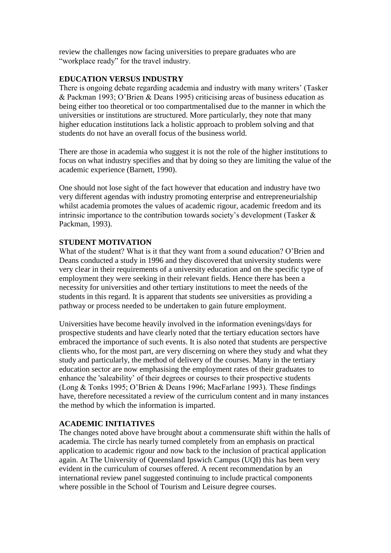review the challenges now facing universities to prepare graduates who are "workplace ready" for the travel industry.

## **EDUCATION VERSUS INDUSTRY**

There is ongoing debate regarding academia and industry with many writers' (Tasker & Packman 1993; O"Brien & Deans 1995) criticising areas of business education as being either too theoretical or too compartmentalised due to the manner in which the universities or institutions are structured. More particularly, they note that many higher education institutions lack a holistic approach to problem solving and that students do not have an overall focus of the business world.

There are those in academia who suggest it is not the role of the higher institutions to focus on what industry specifies and that by doing so they are limiting the value of the academic experience (Barnett, 1990).

One should not lose sight of the fact however that education and industry have two very different agendas with industry promoting enterprise and entrepreneurialship whilst academia promotes the values of academic rigour, academic freedom and its intrinsic importance to the contribution towards society's development (Tasker  $\&$ Packman, 1993).

## **STUDENT MOTIVATION**

What of the student? What is it that they want from a sound education? O"Brien and Deans conducted a study in 1996 and they discovered that university students were very clear in their requirements of a university education and on the specific type of employment they were seeking in their relevant fields. Hence there has been a necessity for universities and other tertiary institutions to meet the needs of the students in this regard. It is apparent that students see universities as providing a pathway or process needed to be undertaken to gain future employment.

Universities have become heavily involved in the information evenings/days for prospective students and have clearly noted that the tertiary education sectors have embraced the importance of such events. It is also noted that students are perspective clients who, for the most part, are very discerning on where they study and what they study and particularly, the method of delivery of the courses. Many in the tertiary education sector are now emphasising the employment rates of their graduates to enhance the 'saleability" of their degrees or courses to their prospective students (Long & Tonks 1995; O"Brien & Deans 1996; MacFarlane 1993). These findings have, therefore necessitated a review of the curriculum content and in many instances the method by which the information is imparted.

## **ACADEMIC INITIATIVES**

The changes noted above have brought about a commensurate shift within the halls of academia. The circle has nearly turned completely from an emphasis on practical application to academic rigour and now back to the inclusion of practical application again. At The University of Queensland Ipswich Campus (UQI) this has been very evident in the curriculum of courses offered. A recent recommendation by an international review panel suggested continuing to include practical components where possible in the School of Tourism and Leisure degree courses.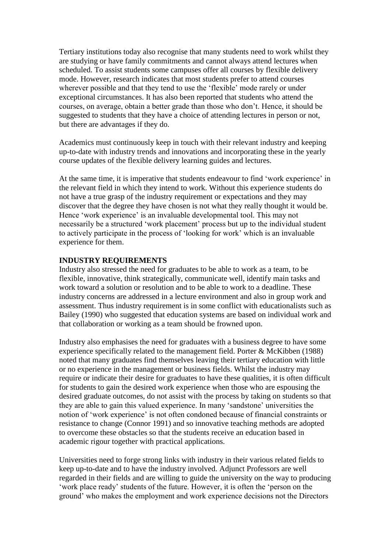Tertiary institutions today also recognise that many students need to work whilst they are studying or have family commitments and cannot always attend lectures when scheduled. To assist students some campuses offer all courses by flexible delivery mode. However, research indicates that most students prefer to attend courses wherever possible and that they tend to use the "flexible" mode rarely or under exceptional circumstances. It has also been reported that students who attend the courses, on average, obtain a better grade than those who don"t. Hence, it should be suggested to students that they have a choice of attending lectures in person or not, but there are advantages if they do.

Academics must continuously keep in touch with their relevant industry and keeping up-to-date with industry trends and innovations and incorporating these in the yearly course updates of the flexible delivery learning guides and lectures.

At the same time, it is imperative that students endeavour to find 'work experience' in the relevant field in which they intend to work. Without this experience students do not have a true grasp of the industry requirement or expectations and they may discover that the degree they have chosen is not what they really thought it would be. Hence 'work experience' is an invaluable developmental tool. This may not necessarily be a structured "work placement" process but up to the individual student to actively participate in the process of "looking for work" which is an invaluable experience for them.

## **INDUSTRY REQUIREMENTS**

Industry also stressed the need for graduates to be able to work as a team, to be flexible, innovative, think strategically, communicate well, identify main tasks and work toward a solution or resolution and to be able to work to a deadline. These industry concerns are addressed in a lecture environment and also in group work and assessment. Thus industry requirement is in some conflict with educationalists such as Bailey (1990) who suggested that education systems are based on individual work and that collaboration or working as a team should be frowned upon.

Industry also emphasises the need for graduates with a business degree to have some experience specifically related to the management field. Porter & McKibben (1988) noted that many graduates find themselves leaving their tertiary education with little or no experience in the management or business fields. Whilst the industry may require or indicate their desire for graduates to have these qualities, it is often difficult for students to gain the desired work experience when those who are espousing the desired graduate outcomes, do not assist with the process by taking on students so that they are able to gain this valued experience. In many "sandstone" universities the notion of "work experience" is not often condoned because of financial constraints or resistance to change (Connor 1991) and so innovative teaching methods are adopted to overcome these obstacles so that the students receive an education based in academic rigour together with practical applications.

Universities need to forge strong links with industry in their various related fields to keep up-to-date and to have the industry involved. Adjunct Professors are well regarded in their fields and are willing to guide the university on the way to producing 'work place ready' students of the future. However, it is often the 'person on the ground" who makes the employment and work experience decisions not the Directors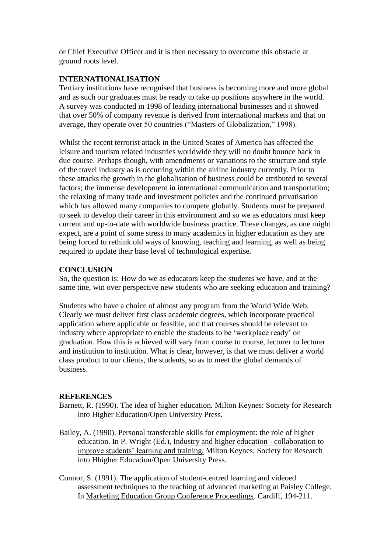or Chief Executive Officer and it is then necessary to overcome this obstacle at ground roots level.

# **INTERNATIONALISATION**

Tertiary institutions have recognised that business is becoming more and more global and as such our graduates must be ready to take up positions anywhere in the world. A survey was conducted in 1998 of leading international businesses and it showed that over 50% of company revenue is derived from international markets and that on average, they operate over 50 countries ("Masters of Globalization," 1998).

Whilst the recent terrorist attack in the United States of America has affected the leisure and tourism related industries worldwide they will no doubt bounce back in due course. Perhaps though, with amendments or variations to the structure and style of the travel industry as is occurring within the airline industry currently. Prior to these attacks the growth in the globalisation of business could be attributed to several factors; the immense development in international communication and transportation; the relaxing of many trade and investment policies and the continued privatisation which has allowed many companies to compete globally. Students must be prepared to seek to develop their career in this environment and so we as educators must keep current and up-to-date with worldwide business practice. These changes, as one might expect, are a point of some stress to many academics in higher education as they are being forced to rethink old ways of knowing, teaching and learning, as well as being required to update their base level of technological expertise.

## **CONCLUSION**

So, the question is: How do we as educators keep the students we have, and at the same tine, win over perspective new students who are seeking education and training?

Students who have a choice of almost any program from the World Wide Web. Clearly we must deliver first class academic degrees, which incorporate practical application where applicable or feasible, and that courses should be relevant to industry where appropriate to enable the students to be "workplace ready" on graduation. How this is achieved will vary from course to course, lecturer to lecturer and institution to institution. What is clear, however, is that we must deliver a world class product to our clients, the students, so as to meet the global demands of business.

## **REFERENCES**

- Barnett, R. (1990). The idea of higher education*.* Milton Keynes: Society for Research into Higher Education/Open University Press.
- Bailey, A. (1990). Personal transferable skills for employment: the role of higher education. In P. Wright (Ed.), Industry and higher education - collaboration to improve students" learning and training. Milton Keynes: Society for Research into Hhigher Education/Open University Press.
- Connor, S. (1991). The application of student-centred learning and videoed assessment techniques to the teaching of advanced marketing at Paisley College. In Marketing Education Group Conference Proceedings. Cardiff, 194-211.